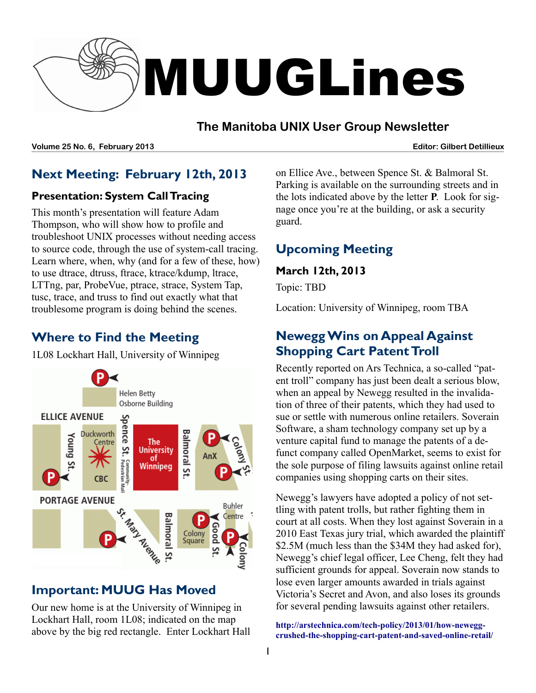

#### **The Manitoba UNIX User Group Newsletter**

**Volume 25 No. 6, February 2013 Editor: Gilbert Detillieux**

# **Next Meeting: February 12th, 2013**

#### **Presentation: System Call Tracing**

This month's presentation will feature Adam Thompson, who will show how to profile and troubleshoot UNIX processes without needing access to source code, through the use of system-call tracing. Learn where, when, why (and for a few of these, how) to use dtrace, dtruss, ftrace, ktrace/kdump, ltrace, LTTng, par, ProbeVue, ptrace, strace, System Tap, tusc, trace, and truss to find out exactly what that troublesome program is doing behind the scenes.

# **Where to Find the Meeting**

1L08 Lockhart Hall, University of Winnipeg



### **Important: MUUG Has Moved**

Our new home is at the University of Winnipeg in Lockhart Hall, room 1L08; indicated on the map above by the big red rectangle. Enter Lockhart Hall on Ellice Ave., between Spence St. & Balmoral St. Parking is available on the surrounding streets and in the lots indicated above by the letter **P**. Look for signage once you're at the building, or ask a security guard.

# **Upcoming Meeting**

#### **March 12th, 2013**

Topic: TBD

Location: University of Winnipeg, room TBA

### **Newegg Wins on Appeal Against Shopping Cart Patent Troll**

Recently reported on Ars Technica, a so-called "patent troll" company has just been dealt a serious blow, when an appeal by Newegg resulted in the invalidation of three of their patents, which they had used to sue or settle with numerous online retailers. Soverain Software, a sham technology company set up by a venture capital fund to manage the patents of a defunct company called OpenMarket, seems to exist for the sole purpose of filing lawsuits against online retail companies using shopping carts on their sites.

Newegg's lawyers have adopted a policy of not settling with patent trolls, but rather fighting them in court at all costs. When they lost against Soverain in a 2010 East Texas jury trial, which awarded the plaintiff \$2.5M (much less than the \$34M they had asked for), Newegg's chief legal officer, Lee Cheng, felt they had sufficient grounds for appeal. Soverain now stands to lose even larger amounts awarded in trials against Victoria's Secret and Avon, and also loses its grounds for several pending lawsuits against other retailers.

**[http://arstechnica.com/tech-policy/2013/01/how-newegg](http://arstechnica.com/tech-policy/2013/01/how-newegg-crushed-the-shopping-cart-patent-and-saved-online-retail/)[crushed-the-shopping-cart-patent-and-saved-online-retail/](http://arstechnica.com/tech-policy/2013/01/how-newegg-crushed-the-shopping-cart-patent-and-saved-online-retail/)**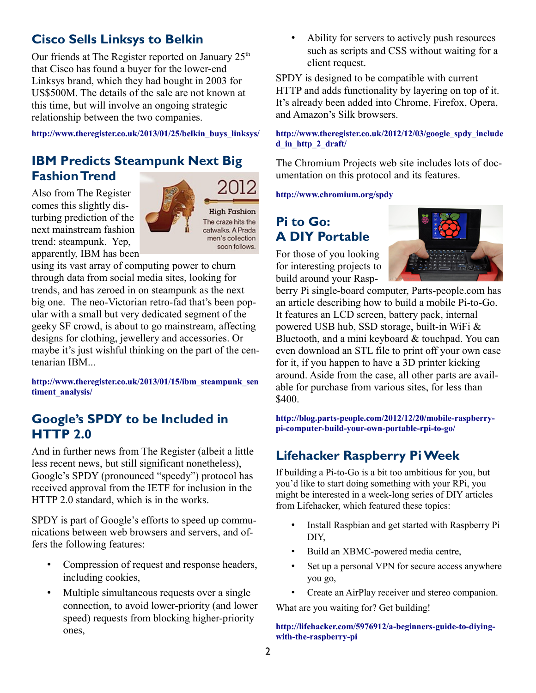# **Cisco Sells Linksys to Belkin**

Our friends at The Register reported on January  $25<sup>th</sup>$ that Cisco has found a buyer for the lower-end Linksys brand, which they had bought in 2003 for US\$500M. The details of the sale are not known at this time, but will involve an ongoing strategic relationship between the two companies.

**[http://www.theregister.co.uk/2013/01/25/belkin\\_buys\\_linksys/](http://www.theregister.co.uk/2013/01/25/belkin_buys_linksys/)**

# **IBM Predicts Steampunk Next Big Fashion Trend**

Also from The Register comes this slightly disturbing prediction of the next mainstream fashion trend: steampunk. Yep, apparently, IBM has been



using its vast array of computing power to churn through data from social media sites, looking for trends, and has zeroed in on steampunk as the next big one. The neo-Victorian retro-fad that's been popular with a small but very dedicated segment of the geeky SF crowd, is about to go mainstream, affecting designs for clothing, jewellery and accessories. Or maybe it's just wishful thinking on the part of the centenarian IBM...

**[http://www.theregister.co.uk/2013/01/15/ibm\\_steampunk\\_sen](http://www.theregister.co.uk/2013/01/15/ibm_steampunk_sentiment_analysis/) [timent\\_analysis/](http://www.theregister.co.uk/2013/01/15/ibm_steampunk_sentiment_analysis/)**

### **Google's SPDY to be Included in HTTP 2.0**

And in further news from The Register (albeit a little less recent news, but still significant nonetheless), Google's SPDY (pronounced "speedy") protocol has received approval from the IETF for inclusion in the HTTP 2.0 standard, which is in the works.

SPDY is part of Google's efforts to speed up communications between web browsers and servers, and offers the following features:

- Compression of request and response headers, including cookies,
- Multiple simultaneous requests over a single connection, to avoid lower-priority (and lower speed) requests from blocking higher-priority ones,

• Ability for servers to actively push resources such as scripts and CSS without waiting for a client request.

SPDY is designed to be compatible with current HTTP and adds functionality by layering on top of it. It's already been added into Chrome, Firefox, Opera, and Amazon's Silk browsers.

#### **[http://www.theregister.co.uk/2012/12/03/google\\_spdy\\_include](http://www.theregister.co.uk/2012/12/03/google_spdy_included_in_http_2_draft/) [d\\_in\\_http\\_2\\_draft/](http://www.theregister.co.uk/2012/12/03/google_spdy_included_in_http_2_draft/)**

The Chromium Projects web site includes lots of documentation on this protocol and its features.

**<http://www.chromium.org/spdy>**

# **Pi to Go: A DIY Portable**

For those of you looking for interesting projects to build around your Rasp-



berry Pi single-board computer, Parts-people.com has an article describing how to build a mobile Pi-to-Go. It features an LCD screen, battery pack, internal powered USB hub, SSD storage, built-in WiFi & Bluetooth, and a mini keyboard & touchpad. You can even download an STL file to print off your own case for it, if you happen to have a 3D printer kicking around. Aside from the case, all other parts are available for purchase from various sites, for less than \$400.

**[http://blog.parts-people.com/2012/12/20/mobile-raspberry](http://blog.parts-people.com/2012/12/20/mobile-raspberry-pi-computer-build-your-own-portable-rpi-to-go/)[pi-computer-build-your-own-portable-rpi-to-go/](http://blog.parts-people.com/2012/12/20/mobile-raspberry-pi-computer-build-your-own-portable-rpi-to-go/)**

# **Lifehacker Raspberry Pi Week**

If building a Pi-to-Go is a bit too ambitious for you, but you'd like to start doing something with your RPi, you might be interested in a week-long series of DIY articles from Lifehacker, which featured these topics:

- Install Raspbian and get started with Raspberry Pi DIY,
- Build an XBMC-powered media centre,
- Set up a personal VPN for secure access anywhere you go,
- Create an AirPlay receiver and stereo companion.

What are you waiting for? Get building!

**[http://lifehacker.com/5976912/a-beginners-guide-to-diying](http://lifehacker.com/5976912/a-beginners-guide-to-diying-with-the-raspberry-pi)[with-the-raspberry-pi](http://lifehacker.com/5976912/a-beginners-guide-to-diying-with-the-raspberry-pi)**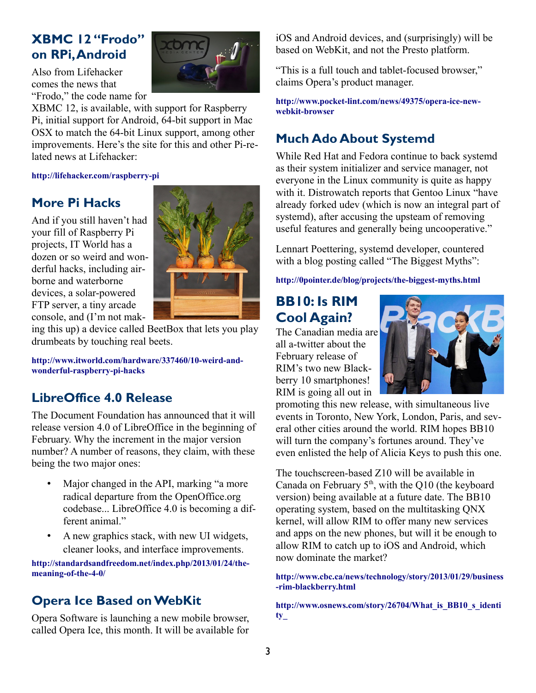# **XBMC 12 "Frodo" on RPi, Android**



Also from Lifehacker comes the news that "Frodo," the code name for

XBMC 12, is available, with support for Raspberry Pi, initial support for Android, 64-bit support in Mac OSX to match the 64-bit Linux support, among other improvements. Here's the site for this and other Pi-related news at Lifehacker:

**<http://lifehacker.com/raspberry-pi>**

### **More Pi Hacks**

And if you still haven't had your fill of Raspberry Pi projects, IT World has a dozen or so weird and wonderful hacks, including airborne and waterborne devices, a solar-powered FTP server, a tiny arcade console, and (I'm not mak-



ing this up) a device called BeetBox that lets you play drumbeats by touching real beets.

**[http://www.itworld.com/hardware/337460/10-weird-and](http://www.itworld.com/hardware/337460/10-weird-and-wonderful-raspberry-pi-hacks)[wonderful-raspberry-pi-hacks](http://www.itworld.com/hardware/337460/10-weird-and-wonderful-raspberry-pi-hacks)**

### **LibreOffice 4.0 Release**

The Document Foundation has announced that it will release version 4.0 of LibreOffice in the beginning of February. Why the increment in the major version number? A number of reasons, they claim, with these being the two major ones:

- Major changed in the API, marking "a more" radical departure from the OpenOffice.org codebase... LibreOffice 4.0 is becoming a different animal."
- A new graphics stack, with new UI widgets, cleaner looks, and interface improvements.

**[http://standardsandfreedom.net/index.php/2013/01/24/the](http://standardsandfreedom.net/index.php/2013/01/24/the-meaning-of-the-4-0/)[meaning-of-the-4-0/](http://standardsandfreedom.net/index.php/2013/01/24/the-meaning-of-the-4-0/)**

### **Opera Ice Based on WebKit**

Opera Software is launching a new mobile browser, called Opera Ice, this month. It will be available for iOS and Android devices, and (surprisingly) will be based on WebKit, and not the Presto platform.

"This is a full touch and tablet-focused browser," claims Opera's product manager.

**[http://www.pocket-lint.com/news/49375/opera-ice-new](http://www.pocket-lint.com/news/49375/opera-ice-new-webkit-browser)[webkit-browser](http://www.pocket-lint.com/news/49375/opera-ice-new-webkit-browser)**

# **Much Ado About Systemd**

While Red Hat and Fedora continue to back systemd as their system initializer and service manager, not everyone in the Linux community is quite as happy with it. Distrowatch reports that Gentoo Linux "have already forked udev (which is now an integral part of systemd), after accusing the upsteam of removing useful features and generally being uncooperative."

Lennart Poettering, systemd developer, countered with a blog posting called "The Biggest Myths":

**<http://0pointer.de/blog/projects/the-biggest-myths.html>**

# **BB10: Is RIM Cool Again?**

The Canadian media are all a-twitter about the February release of RIM's two new Blackberry 10 smartphones! RIM is going all out in



promoting this new release, with simultaneous live events in Toronto, New York, London, Paris, and several other cities around the world. RIM hopes BB10 will turn the company's fortunes around. They've even enlisted the help of Alicia Keys to push this one.

The touchscreen-based Z10 will be available in Canada on February  $5<sup>th</sup>$ , with the Q10 (the keyboard version) being available at a future date. The BB10 operating system, based on the multitasking QNX kernel, will allow RIM to offer many new services and apps on the new phones, but will it be enough to allow RIM to catch up to iOS and Android, which now dominate the market?

**[http://www.cbc.ca/news/technology/story/2013/01/29/business](http://www.cbc.ca/news/technology/story/2013/01/29/business-rim-blackberry.html) [-rim-blackberry.html](http://www.cbc.ca/news/technology/story/2013/01/29/business-rim-blackberry.html)**

**[http://www.osnews.com/story/26704/What\\_is\\_BB10\\_s\\_identi](http://www.osnews.com/story/26704/What_is_BB10_s_identity) [ty\\_](http://www.osnews.com/story/26704/What_is_BB10_s_identity)**